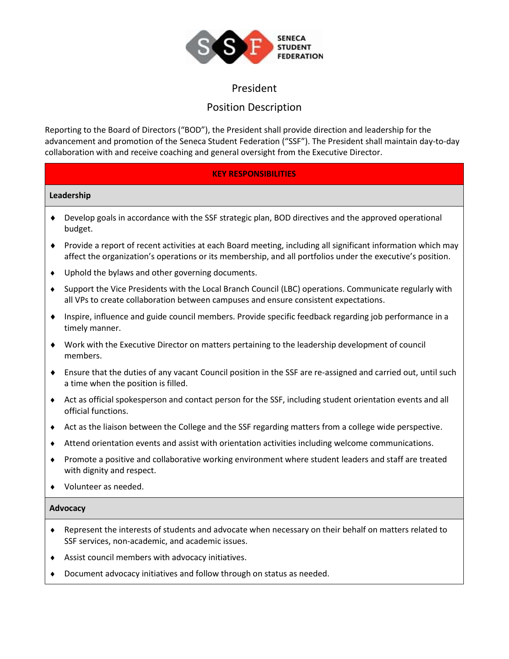

## Position Description

Reporting to the Board of Directors ("BOD"), the President shall provide direction and leadership for the advancement and promotion of the Seneca Student Federation ("SSF"). The President shall maintain day-to-day collaboration with and receive coaching and general oversight from the Executive Director.

### **KEY RESPONSIBILITIES**

#### **Leadership**

- Develop goals in accordance with the SSF strategic plan, BOD directives and the approved operational budget.
- Provide a report of recent activities at each Board meeting, including all significant information which may affect the organization's operations or its membership, and all portfolios under the executive's position.
- Uphold the bylaws and other governing documents.
- Support the Vice Presidents with the Local Branch Council (LBC) operations. Communicate regularly with all VPs to create collaboration between campuses and ensure consistent expectations.
- Inspire, influence and guide council members. Provide specific feedback regarding job performance in a timely manner.
- Work with the Executive Director on matters pertaining to the leadership development of council members.
- Ensure that the duties of any vacant Council position in the SSF are re-assigned and carried out, until such a time when the position is filled.
- Act as official spokesperson and contact person for the SSF, including student orientation events and all official functions.
- Act as the liaison between the College and the SSF regarding matters from a college wide perspective.
- Attend orientation events and assist with orientation activities including welcome communications.
- Promote a positive and collaborative working environment where student leaders and staff are treated with dignity and respect.
- ◆ Volunteer as needed.

#### **Advocacy**

- Represent the interests of students and advocate when necessary on their behalf on matters related to SSF services, non-academic, and academic issues.
- Assist council members with advocacy initiatives.
- Document advocacy initiatives and follow through on status as needed.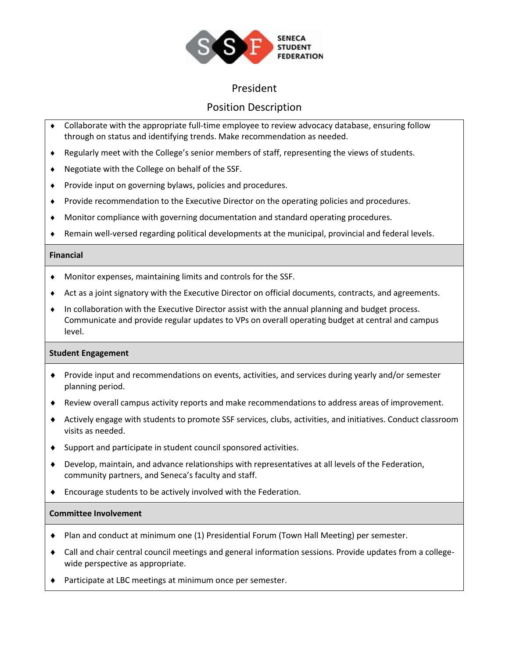

## Position Description

- Collaborate with the appropriate full-time employee to review advocacy database, ensuring follow through on status and identifying trends. Make recommendation as needed.
- Regularly meet with the College's senior members of staff, representing the views of students.
- ◆ Negotiate with the College on behalf of the SSF.
- Provide input on governing bylaws, policies and procedures.
- Provide recommendation to the Executive Director on the operating policies and procedures.
- Monitor compliance with governing documentation and standard operating procedures.
- Remain well-versed regarding political developments at the municipal, provincial and federal levels.

#### **Financial**

- Monitor expenses, maintaining limits and controls for the SSF.
- Act as a joint signatory with the Executive Director on official documents, contracts, and agreements.
- In collaboration with the Executive Director assist with the annual planning and budget process. Communicate and provide regular updates to VPs on overall operating budget at central and campus level.

#### **Student Engagement**

- Provide input and recommendations on events, activities, and services during yearly and/or semester planning period.
- Review overall campus activity reports and make recommendations to address areas of improvement.
- Actively engage with students to promote SSF services, clubs, activities, and initiatives. Conduct classroom visits as needed.
- Support and participate in student council sponsored activities.
- Develop, maintain, and advance relationships with representatives at all levels of the Federation, community partners, and Seneca's faculty and staff.
- Encourage students to be actively involved with the Federation.

#### **Committee Involvement**

- Plan and conduct at minimum one (1) Presidential Forum (Town Hall Meeting) per semester.
- Call and chair central council meetings and general information sessions. Provide updates from a collegewide perspective as appropriate.
- Participate at LBC meetings at minimum once per semester.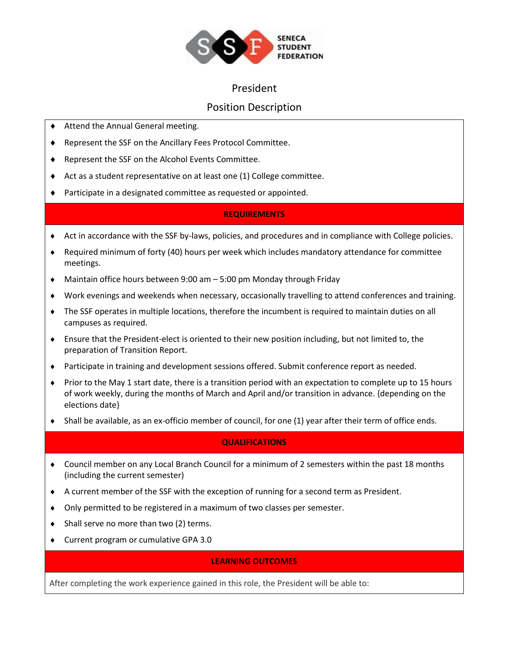

### Position Description

- Attend the Annual General meeting.
- Represent the SSF on the Ancillary Fees Protocol Committee.
- ◆ Represent the SSF on the Alcohol Events Committee.
- ◆ Act as a student representative on at least one (1) College committee.
- Participate in a designated committee as requested or appointed.

### **REQUIREMENTS**

- Act in accordance with the SSF by-laws, policies, and procedures and in compliance with College policies.
- Required minimum of forty (40) hours per week which includes mandatory attendance for committee meetings.
- Maintain office hours between 9:00 am 5:00 pm Monday through Friday
- Work evenings and weekends when necessary, occasionally travelling to attend conferences and training.
- The SSF operates in multiple locations, therefore the incumbent is required to maintain duties on all campuses as required.
- Ensure that the President-elect is oriented to their new position including, but not limited to, the preparation of Transition Report.
- Participate in training and development sessions offered. Submit conference report as needed.
- ◆ Prior to the May 1 start date, there is a transition period with an expectation to complete up to 15 hours of work weekly, during the months of March and April and/or transition in advance. {depending on the elections date}
- Shall be available, as an ex-officio member of council, for one (1) year after their term of office ends.

#### **QUALIFICATIONS**

- Council member on any Local Branch Council for a minimum of 2 semesters within the past 18 months (including the current semester)
- A current member of the SSF with the exception of running for a second term as President.
- Only permitted to be registered in a maximum of two classes per semester.
- $\bullet$  Shall serve no more than two (2) terms.
- Current program or cumulative GPA 3.0

#### **LEARNING OUTCOMES**

After completing the work experience gained in this role, the President will be able to: